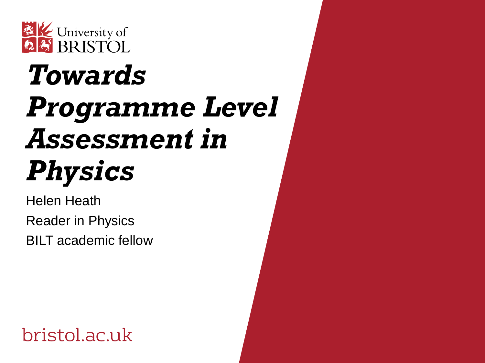

# *Towards Programme Level Assessment in Physics*

Helen Heath Reader in Physics BILT academic fellow

bristol.ac.uk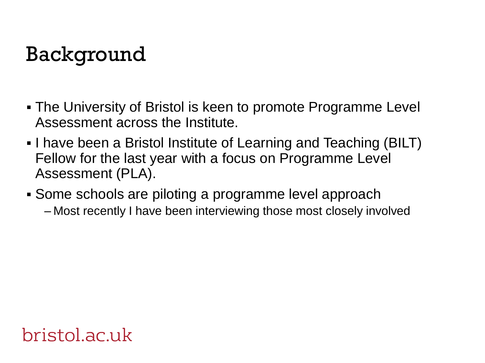# Background

- The University of Bristol is keen to promote Programme Level Assessment across the Institute.
- I have been a Bristol Institute of Learning and Teaching (BILT) Fellow for the last year with a focus on Programme Level Assessment (PLA).
- Some schools are piloting a programme level approach
	- Most recently I have been interviewing those most closely involved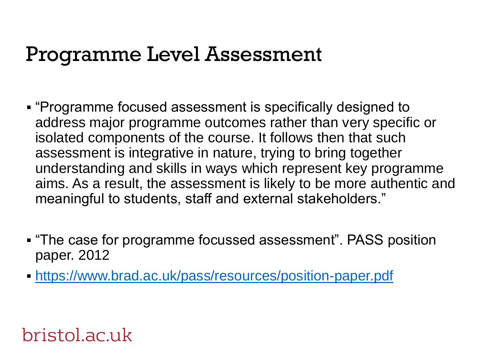### Programme Level Assessment

- "Programme focused assessment is specifically designed to address major programme outcomes rather than very specific or isolated components of the course. It follows then that such assessment is integrative in nature, trying to bring together understanding and skills in ways which represent key programme aims. As a result, the assessment is likely to be more authentic and meaningful to students, staff and external stakeholders."
- "The case for programme focussed assessment". PASS position paper. 2012
- <https://www.brad.ac.uk/pass/resources/position-paper.pdf>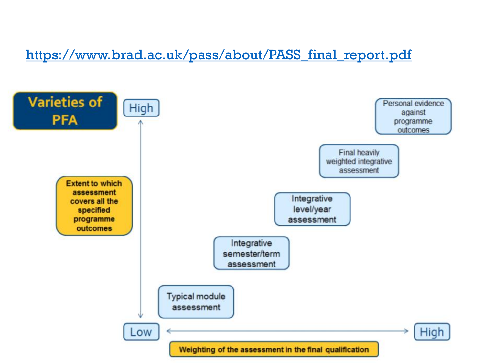#### [https://www.brad.ac.uk/pass/about/PASS\\_final\\_report.pdf](https://www.brad.ac.uk/pass/about/PASS_final_report.pdf)

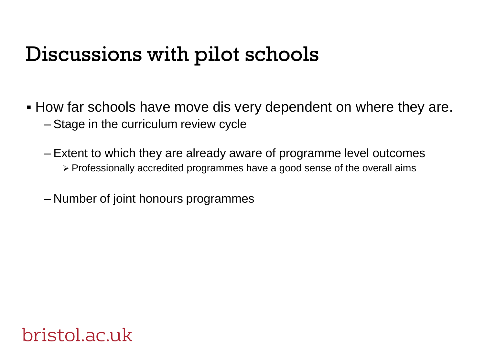### Discussions with pilot schools

- How far schools have move dis very dependent on where they are. – Stage in the curriculum review cycle
	- Extent to which they are already aware of programme level outcomes ➢ Professionally accredited programmes have a good sense of the overall aims
	- Number of joint honours programmes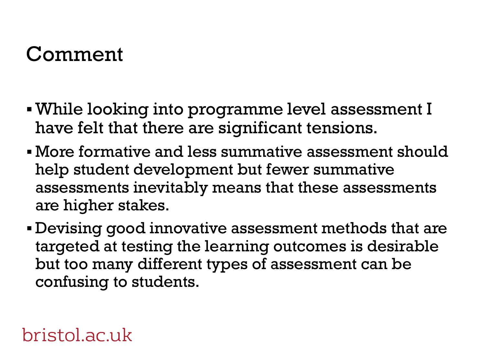### Comment

- ▪While looking into programme level assessment I have felt that there are significant tensions.
- More formative and less summative assessment should help student development but fewer summative assessments inevitably means that these assessments are higher stakes.
- Devising good innovative assessment methods that are targeted at testing the learning outcomes is desirable but too many different types of assessment can be confusing to students.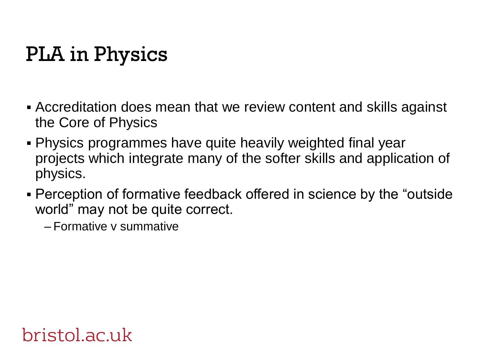### PLA in Physics

- Accreditation does mean that we review content and skills against the Core of Physics
- Physics programmes have quite heavily weighted final year projects which integrate many of the softer skills and application of physics.
- Perception of formative feedback offered in science by the "outside world" may not be quite correct.
	- Formative v summative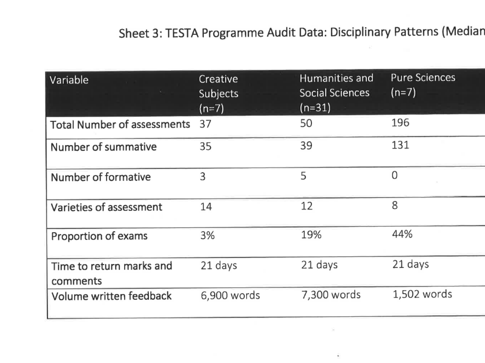#### Sheet 3: TESTA Programme Audit Data: Disciplinary Patterns (Median

| Variable                             | Creative<br>Subjects<br>$(n=7)$ | Humanities and<br>Social Sciences<br>$(n=31)$ | <b>Pure Sciences</b><br>$(n=7)$ |
|--------------------------------------|---------------------------------|-----------------------------------------------|---------------------------------|
| <b>Total Number of assessments</b>   | 37                              | 50                                            | 196                             |
| Number of summative                  | 35                              | 39                                            | 131                             |
| Number of formative                  | 3                               | 5                                             | 0                               |
| Varieties of assessment              | 14                              | 12                                            | 8                               |
| Proportion of exams                  | 3%                              | 19%                                           | 44%                             |
| Time to return marks and<br>comments | 21 days                         | 21 days                                       | 21 days                         |
| Volume written feedback              | 6,900 words                     | 7,300 words                                   | 1,502 words                     |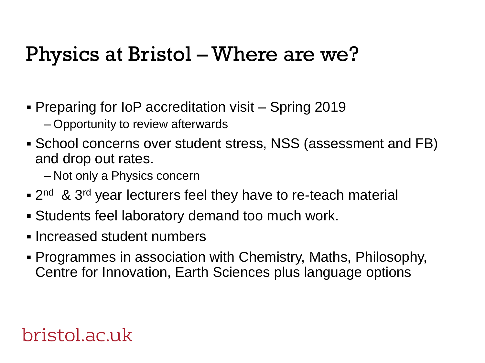### Physics at Bristol – Where are we?

- Preparing for IoP accreditation visit Spring 2019
	- Opportunity to review afterwards
- School concerns over student stress, NSS (assessment and FB) and drop out rates.
	- Not only a Physics concern
- 2<sup>nd</sup> & 3<sup>rd</sup> year lecturers feel they have to re-teach material
- **.** Students feel laboratory demand too much work.
- Increased student numbers
- Programmes in association with Chemistry, Maths, Philosophy, Centre for Innovation, Earth Sciences plus language options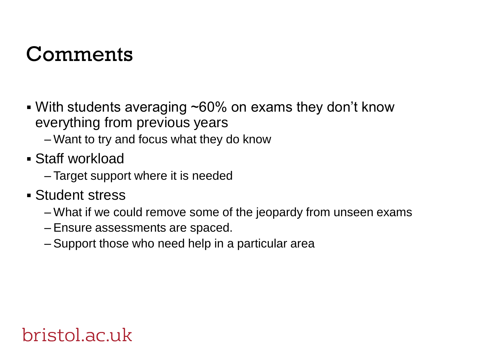### Comments

- $\bullet$  With students averaging ~60% on exams they don't know everything from previous years
	- Want to try and focus what they do know
- Staff workload
	- Target support where it is needed
- Student stress
	- What if we could remove some of the jeopardy from unseen exams
	- Ensure assessments are spaced.
	- Support those who need help in a particular area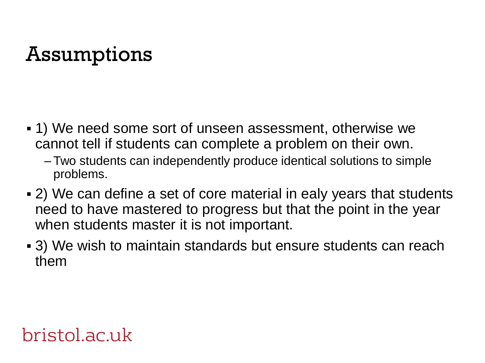# Assumptions

- 1) We need some sort of unseen assessment, otherwise we cannot tell if students can complete a problem on their own.
	- Two students can independently produce identical solutions to simple problems.
- 2) We can define a set of core material in ealy years that students need to have mastered to progress but that the point in the year when students master it is not important.
- 3) We wish to maintain standards but ensure students can reach them

#### bristol.ac.uk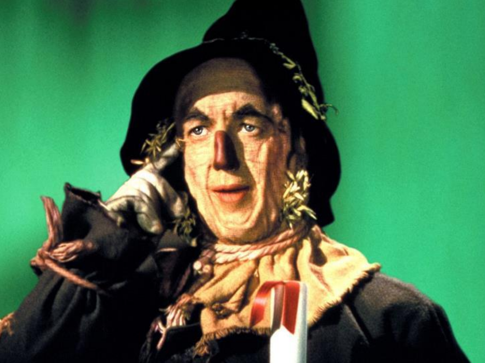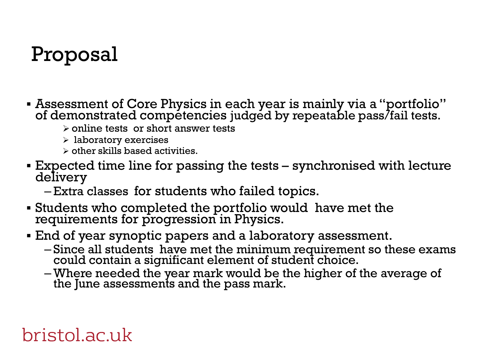## Proposal

- Assessment of Core Physics in each year is mainly via a "portfolio" of demonstrated compétencies judged by repeatable pass/fail tests.
	- ➢ online tests or short answer tests
	- $\triangleright$  laboratory exercises
	- ➢ other skills based activities.
- Expected time line for passing the tests synchronised with lecture delivery
	- Extra classes for students who failed topics.
- Students who completed the portfolio would have met the requirements for progression in Physics.
- End of year synoptic papers and a laboratory assessment.
	- Since all students have met the minimum requirement so these exams could contain a significant element of student choice.
	- –Where needed the year mark would be the higher of the average of the June assessments and the pass mark.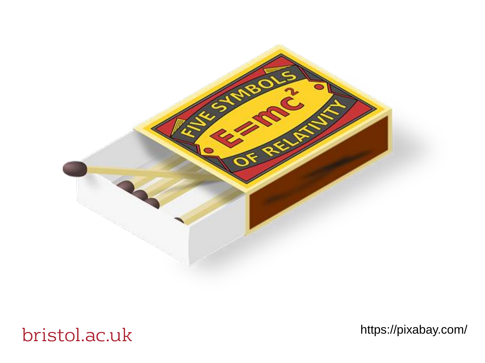

### bristol.ac.uk

https://pixabay.com/